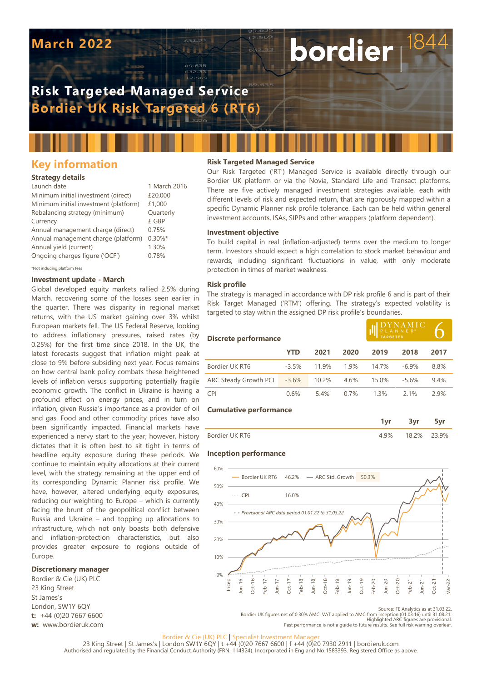# **March 2022**

# **Risk Targeted Managed Service Bordier UK Risk Targeted 6 (RT6)**

# **Key information**

## **Strategy details**

| Launch date                           | 1 March 2016 |
|---------------------------------------|--------------|
| Minimum initial investment (direct)   | £20,000      |
| Minimum initial investment (platform) | £1,000       |
| Rebalancing strategy (minimum)        | Quarterly    |
| Currency                              | £ GBP        |
| Annual management charge (direct)     | 0.75%        |
| Annual management charge (platform)   | $0.30\%$ *   |
| Annual yield (current)                | 1.30%        |
| Ongoing charges figure ('OCF')        | 0.78%        |
|                                       |              |

\*Not including platform fees

### **Investment update - March**

Global developed equity markets rallied 2.5% during March, recovering some of the losses seen earlier in the quarter. There was disparity in regional market returns, with the US market gaining over 3% whilst European markets fell. The US Federal Reserve, looking to address inflationary pressures, raised rates (by 0.25%) for the first time since 2018. In the UK, the latest forecasts suggest that inflation might peak at close to 9% before subsiding next year. Focus remains on how central bank policy combats these heightened levels of inflation versus supporting potentially fragile economic growth. The conflict in Ukraine is having a profound effect on energy prices, and in turn on inflation, given Russia's importance as a provider of oil and gas. Food and other commodity prices have also been significantly impacted. Financial markets have experienced a nervy start to the year; however, history dictates that it is often best to sit tight in terms of headline equity exposure during these periods. We continue to maintain equity allocations at their current level, with the strategy remaining at the upper end of its corresponding Dynamic Planner risk profile. We have, however, altered underlying equity exposures, reducing our weighting to Europe – which is currently facing the brunt of the geopolitical conflict between Russia and Ukraine – and topping up allocations to infrastructure, which not only boasts both defensive and inflation-protection characteristics, but also provides greater exposure to regions outside of Europe.

## **Discretionary manager**

Bordier & Cie (UK) PLC 23 King Street St James's London, SW1Y 6QY **t:** +44 (0)20 7667 6600 **w:** www.bordieruk.com

## **Risk Targeted Managed Service**

Our Risk Targeted ('RT') Managed Service is available directly through our Bordier UK platform or via the Novia, Standard Life and Transact platforms. There are five actively managed investment strategies available, each with different levels of risk and expected return, that are rigorously mapped within a specific Dynamic Planner risk profile tolerance. Each can be held within general investment accounts, ISAs, SIPPs and other wrappers (platform dependent).

bordier

#### **Investment objective**

To build capital in real (inflation-adjusted) terms over the medium to longer term. Investors should expect a high correlation to stock market behaviour and rewards, including significant fluctuations in value, with only moderate protection in times of market weakness.

#### **Risk profile**

The strategy is managed in accordance with DP risk profile 6 and is part of their Risk Target Managed ('RTM') offering. The strategy's expected volatility is targeted to stay within the assigned DP risk profile's boundaries.

| Discrete performance          |         |       |      |       | $\rm DYNAMIC$<br>PLANNER® |      |  |
|-------------------------------|---------|-------|------|-------|---------------------------|------|--|
|                               | YTD     | 2021  | 2020 | 2019  | 2018                      | 2017 |  |
| Bordier UK RT6                | $-3.5%$ | 119%  | 1.9% | 147%  | $-6.9%$                   | 8.8% |  |
| ARC Steady Growth PCI         | $-3.6%$ | 10.2% | 4.6% | 15.0% | $-5.6%$                   | 9.4% |  |
| <b>CPI</b>                    | 0.6%    | 54%   | 0.7% | 1.3%  | 2.1%                      | 2.9% |  |
| <b>Cumulative performance</b> |         |       |      |       |                           |      |  |

| Bordier UK RT6 | 32% | 9% |
|----------------|-----|----|

#### **Inception performance**



Source: FE Analytics as at 31.03.22.

**1yr 3yr 5yr**

Bordier UK figures net of 0.30% AMC. VAT applied to AMC from inception (01.03.16) until 31.08.21.<br>Highlighted ARC figures are provisional.<br>Past performance is not a quide to future results. See full risk warning overleaf

#### Bordier & Cie (UK) PLC | Specialist Investment Manage

23 King Street | St James's | London SW1Y 6QY | t +44 (0)20 7667 6600 | f +44 (0)20 7930 2911 | bordieruk.com<br>Authorised and regulated by the Financial Conduct Authority (FRN. 114324). Incorporated in England No.1583393. R